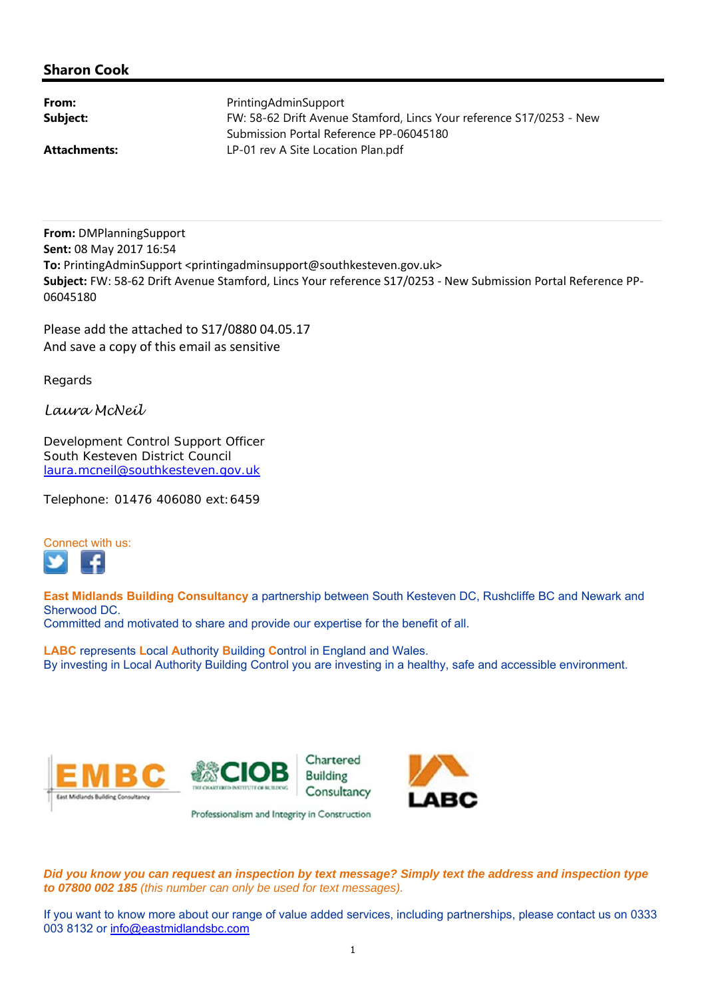## **Sharon Cook**

| From:               | PrintingAdminSupport                                                 |
|---------------------|----------------------------------------------------------------------|
| Subject:            | FW: 58-62 Drift Avenue Stamford, Lincs Your reference S17/0253 - New |
|                     | Submission Portal Reference PP-06045180                              |
| <b>Attachments:</b> | LP-01 rev A Site Location Plan.pdf                                   |

**From:** DMPlanningSupport **Sent:** 08 May 2017 16:54 To: PrintingAdminSupport <printingadminsupport@southkesteven.gov.uk> **Subject:** FW: 58‐62 Drift Avenue Stamford, Lincs Your reference S17/0253 ‐ New Submission Portal Reference PP‐ 06045180

Please add the attached to S17/0880 04.05.17 And save a copy of this email as sensitive

Regards

*Laura McNeil* 

Development Control Support Officer South Kesteven District Council laura.mcneil@southkesteven.gov.uk

Telephone: 01476 406080 ext:6459



**East Midlands Building Consultancy** a partnership between South Kesteven DC, Rushcliffe BC and Newark and Sherwood DC.

Committed and motivated to share and provide our expertise for the benefit of all.

**LABC** represents **L**ocal **A**uthority **B**uilding **C**ontrol in England and Wales. By investing in Local Authority Building Control you are investing in a healthy, safe and accessible environment.



*Did you know you can request an inspection by text message? Simply text the address and inspection type to 07800 002 185 (this number can only be used for text messages).*

If you want to know more about our range of value added services, including partnerships, please contact us on 0333 003 8132 or info@eastmidlandsbc.com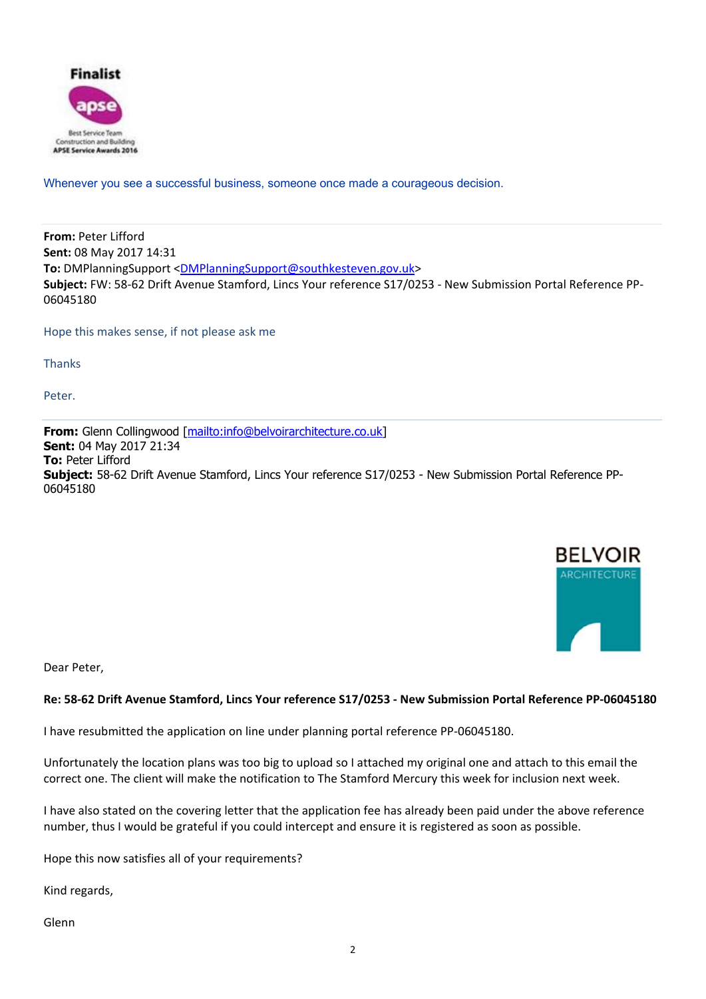

Whenever you see a successful business, someone once made a courageous decision.

**From:** Peter Lifford **Sent:** 08 May 2017 14:31 **To:** DMPlanningSupport <DMPlanningSupport@southkesteven.gov.uk> **Subject:** FW: 58‐62 Drift Avenue Stamford, Lincs Your reference S17/0253 ‐ New Submission Portal Reference PP‐ 06045180

Hope this makes sense, if not please ask me

**Thanks** 

Peter.

**From:** Glenn Collingwood [mailto:info@belvoirarchitecture.co.uk] **Sent:** 04 May 2017 21:34 **To:** Peter Lifford **Subject:** 58-62 Drift Avenue Stamford, Lincs Your reference S17/0253 - New Submission Portal Reference PP-06045180



Dear Peter,

## **Re: 58‐62 Drift Avenue Stamford, Lincs Your reference S17/0253 ‐ New Submission Portal Reference PP‐06045180**

I have resubmitted the application on line under planning portal reference PP‐06045180.

Unfortunately the location plans was too big to upload so I attached my original one and attach to this email the correct one. The client will make the notification to The Stamford Mercury this week for inclusion next week.

I have also stated on the covering letter that the application fee has already been paid under the above reference number, thus I would be grateful if you could intercept and ensure it is registered as soon as possible.

Hope this now satisfies all of your requirements?

Kind regards,

Glenn